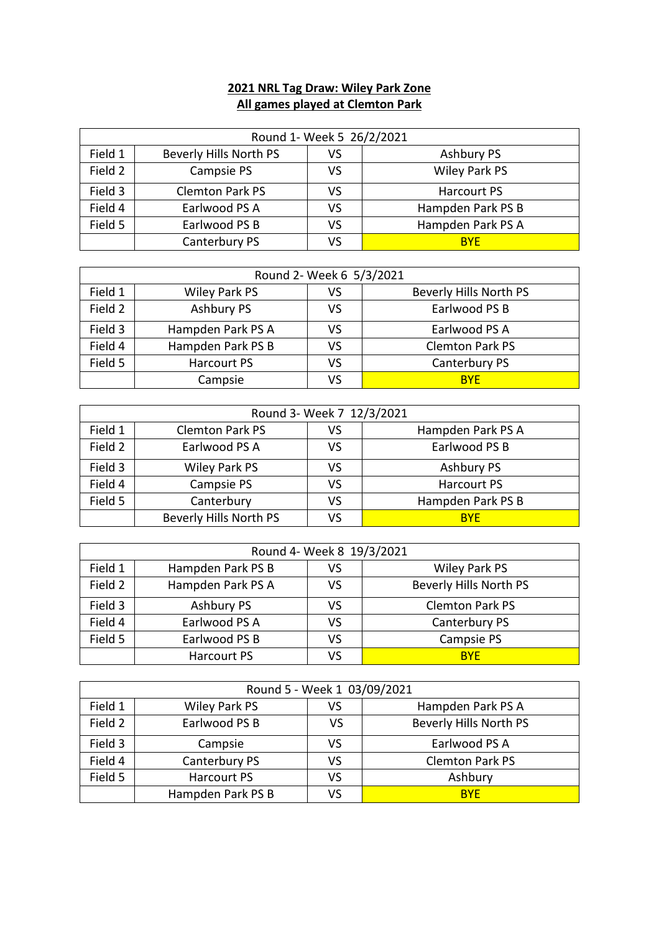## **2021 NRL Tag Draw: Wiley Park Zone All games played at Clemton Park**

| Round 1- Week 5 26/2/2021 |                        |    |                      |
|---------------------------|------------------------|----|----------------------|
| Field 1                   | Beverly Hills North PS | VS | <b>Ashbury PS</b>    |
| Field 2                   | Campsie PS             | VS | <b>Wiley Park PS</b> |
| Field 3                   | <b>Clemton Park PS</b> | VS | <b>Harcourt PS</b>   |
| Field 4                   | Earlwood PS A          | VS | Hampden Park PS B    |
| Field 5                   | Earlwood PS B          | VS | Hampden Park PS A    |
|                           | Canterbury PS          | VS | <b>BYF</b>           |

| Round 2- Week 6 5/3/2021 |                   |    |                        |
|--------------------------|-------------------|----|------------------------|
| Field 1                  | Wiley Park PS     | VS | Beverly Hills North PS |
| Field 2                  | Ashbury PS        | VS | Earlwood PS B          |
| Field 3                  | Hampden Park PS A | VS | Earlwood PS A          |
| Field 4                  | Hampden Park PS B | VS | <b>Clemton Park PS</b> |
| Field 5                  | Harcourt PS       | VS | Canterbury PS          |
|                          | Campsie           | VS | <b>BYF</b>             |

| Round 3- Week 7 12/3/2021 |                        |    |                   |  |
|---------------------------|------------------------|----|-------------------|--|
| Field 1                   | <b>Clemton Park PS</b> | VS | Hampden Park PS A |  |
| Field 2                   | Earlwood PS A          | VS | Earlwood PS B     |  |
| Field 3                   | Wiley Park PS          | VS | <b>Ashbury PS</b> |  |
| Field 4                   | Campsie PS             | VS | Harcourt PS       |  |
| Field 5                   | Canterbury             | VS | Hampden Park PS B |  |
|                           | Beverly Hills North PS | VS | <b>BYF</b>        |  |

| Round 4- Week 8 19/3/2021 |                   |    |                        |
|---------------------------|-------------------|----|------------------------|
| Field 1                   | Hampden Park PS B | VS | Wiley Park PS          |
| Field 2                   | Hampden Park PS A | VS | Beverly Hills North PS |
| Field 3                   | Ashbury PS        | VS | <b>Clemton Park PS</b> |
| Field 4                   | Earlwood PS A     | VS | Canterbury PS          |
| Field 5                   | Earlwood PS B     | VS | Campsie PS             |
|                           | Harcourt PS       | ٧S | <b>BYF</b>             |

| Round 5 - Week 1 03/09/2021 |                    |    |                        |
|-----------------------------|--------------------|----|------------------------|
| Field 1                     | Wiley Park PS      | vs | Hampden Park PS A      |
| Field 2                     | Earlwood PS B      | VS | Beverly Hills North PS |
| Field 3                     | Campsie            | VS | Earlwood PS A          |
| Field 4                     | Canterbury PS      | VS | <b>Clemton Park PS</b> |
| Field 5                     | <b>Harcourt PS</b> | VS | Ashbury                |
|                             | Hampden Park PS B  | VS | <b>BYF</b>             |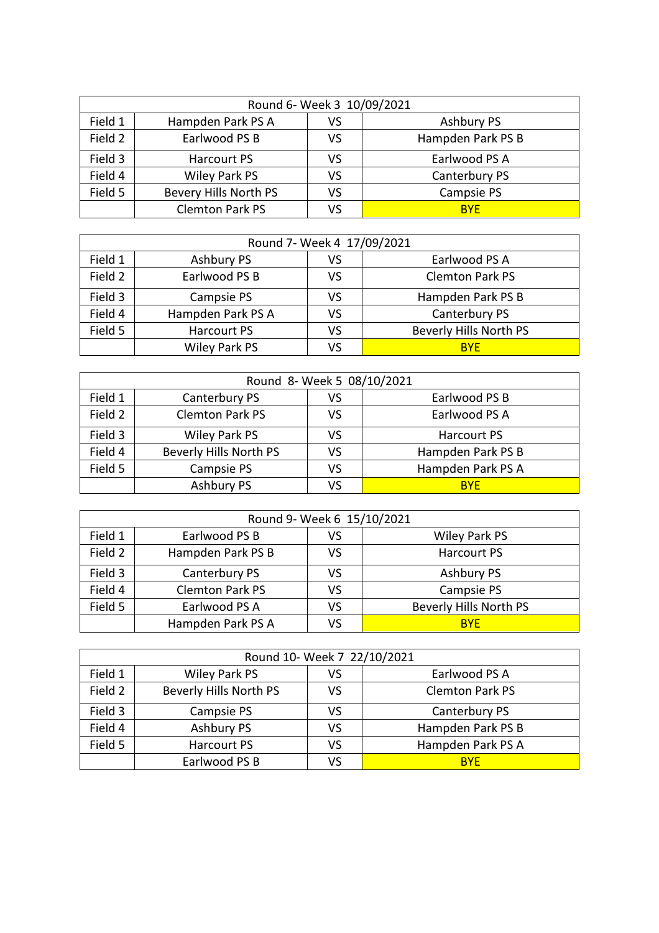|         | Round 6- Week 3 10/09/2021 |    |                   |  |
|---------|----------------------------|----|-------------------|--|
| Field 1 | Hampden Park PS A          | VS | <b>Ashbury PS</b> |  |
| Field 2 | Earlwood PS B              | VS | Hampden Park PS B |  |
| Field 3 | Harcourt PS                | VS | Earlwood PS A     |  |
| Field 4 | Wiley Park PS              | VS | Canterbury PS     |  |
| Field 5 | Bevery Hills North PS      | VS | Campsie PS        |  |
|         | <b>Clemton Park PS</b>     | VS | <b>BYF</b>        |  |

| Round 7- Week 4 17/09/2021 |                   |    |                        |
|----------------------------|-------------------|----|------------------------|
| Field 1                    | Ashbury PS        | VS | Earlwood PS A          |
| Field 2                    | Earlwood PS B     | VS | <b>Clemton Park PS</b> |
| Field 3                    | Campsie PS        | VS | Hampden Park PS B      |
| Field 4                    | Hampden Park PS A | VS | Canterbury PS          |
| Field 5                    | Harcourt PS       | VS | Beverly Hills North PS |
|                            | Wiley Park PS     | VS | <b>BYF</b>             |

| Round 8- Week 5 08/10/2021 |                        |    |                   |
|----------------------------|------------------------|----|-------------------|
| Field 1                    | Canterbury PS          | VS | Earlwood PS B     |
| Field 2                    | <b>Clemton Park PS</b> | VS | Earlwood PS A     |
| Field 3                    | Wiley Park PS          | VS | Harcourt PS       |
| Field 4                    | Beverly Hills North PS | VS | Hampden Park PS B |
| Field 5                    | Campsie PS             | VS | Hampden Park PS A |
|                            | Ashbury PS             | VS | <b>BYE</b>        |

| Round 9- Week 6 15/10/2021 |                        |    |                        |
|----------------------------|------------------------|----|------------------------|
| Field 1                    | Earlwood PS B          | VS | <b>Wiley Park PS</b>   |
| Field 2                    | Hampden Park PS B      | VS | <b>Harcourt PS</b>     |
| Field 3                    | Canterbury PS          | VS | <b>Ashbury PS</b>      |
| Field 4                    | <b>Clemton Park PS</b> | VS | Campsie PS             |
| Field 5                    | Earlwood PS A          | VS | Beverly Hills North PS |
|                            | Hampden Park PS A      | VS | <b>BYF</b>             |

| Round 10- Week 7 22/10/2021 |                        |    |                        |
|-----------------------------|------------------------|----|------------------------|
| Field 1                     | Wiley Park PS          | VS | Earlwood PS A          |
| Field 2                     | Beverly Hills North PS | VS | <b>Clemton Park PS</b> |
| Field 3                     | Campsie PS             | VS | Canterbury PS          |
| Field 4                     | Ashbury PS             | VS | Hampden Park PS B      |
| Field 5                     | Harcourt PS            | VS | Hampden Park PS A      |
|                             | Earlwood PS B          | VS | <b>BYF</b>             |